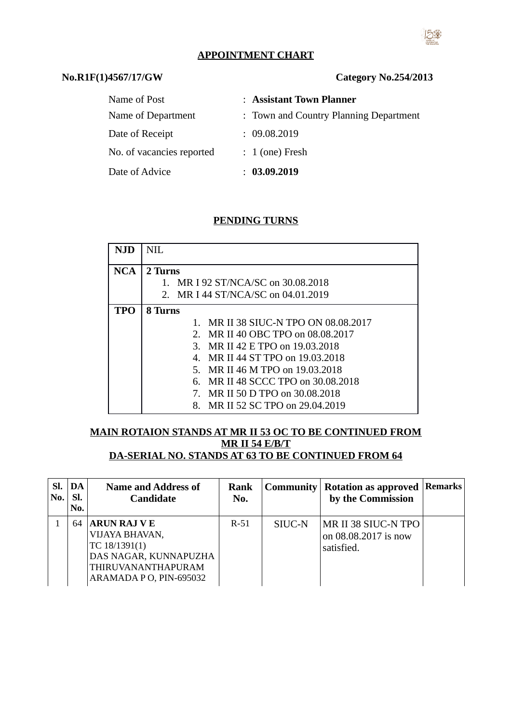## **APPOINTMENT CHART**

## $No.R1F(1)4567/17/GW$

| <b>Category No.254/2013</b> |  |  |
|-----------------------------|--|--|
|-----------------------------|--|--|

| Name of Post              | : Assistant Town Planner               |
|---------------------------|----------------------------------------|
| Name of Department        | : Town and Country Planning Department |
| Date of Receipt           | : 09.08.2019                           |
| No. of vacancies reported | $: 1$ (one) Fresh                      |
| Date of Advice            | : 03.09.2019                           |

#### **PENDING TURNS**

| NJD        | NH.                                           |  |  |  |  |  |  |
|------------|-----------------------------------------------|--|--|--|--|--|--|
|            |                                               |  |  |  |  |  |  |
| <b>NCA</b> | 2 Turns                                       |  |  |  |  |  |  |
|            |                                               |  |  |  |  |  |  |
|            | MR I 92 ST/NCA/SC on 30.08.2018               |  |  |  |  |  |  |
|            | 2. MR I 44 ST/NCA/SC on 04.01.2019            |  |  |  |  |  |  |
|            |                                               |  |  |  |  |  |  |
| TPO        | 8 Turns                                       |  |  |  |  |  |  |
|            | 1. MR II 38 SIUC-N TPO ON 08.08.2017          |  |  |  |  |  |  |
|            | MR II 40 OBC TPO on 08.08.2017<br>$2_{-}$     |  |  |  |  |  |  |
|            | MR II 42 E TPO on 19.03.2018<br>З.            |  |  |  |  |  |  |
|            | MR II 44 ST TPO on 19.03.2018<br>$\mathbf{4}$ |  |  |  |  |  |  |
|            | MR II 46 M TPO on 19.03.2018<br>5.            |  |  |  |  |  |  |
|            | MR II 48 SCCC TPO on 30.08.2018<br>6.         |  |  |  |  |  |  |
|            | MR II 50 D TPO on 30.08.2018<br>7.            |  |  |  |  |  |  |
|            | MR II 52 SC TPO on 29.04.2019<br>8.           |  |  |  |  |  |  |

#### **MAIN ROTAION STANDS AT MR II 53 OC TO BE CONTINUED FROM MR II 54 E/B/T DA-SERIAL NO. STANDS AT 63 TO BE CONTINUED FROM 64**

| SI.<br>No. | $\mid$ DA $\mid$<br>SI.<br>No. | <b>Name and Address of</b><br><b>Candidate</b>                                                                                  | Rank<br>No. | Community | <b>Rotation as approved   Remarks  </b><br>by the Commission |  |
|------------|--------------------------------|---------------------------------------------------------------------------------------------------------------------------------|-------------|-----------|--------------------------------------------------------------|--|
|            | 64                             | <b>ARUN RAJ VE</b><br>VIJAYA BHAVAN,<br>TC 18/1391(1)<br>DAS NAGAR, KUNNAPUZHA<br>THIRUVANANTHAPURAM<br>ARAMADA P O, PIN-695032 | $R-51$      | SIUC-N    | MR II 38 SIUC-N TPO<br>on 08.08.2017 is now<br>satisfied.    |  |